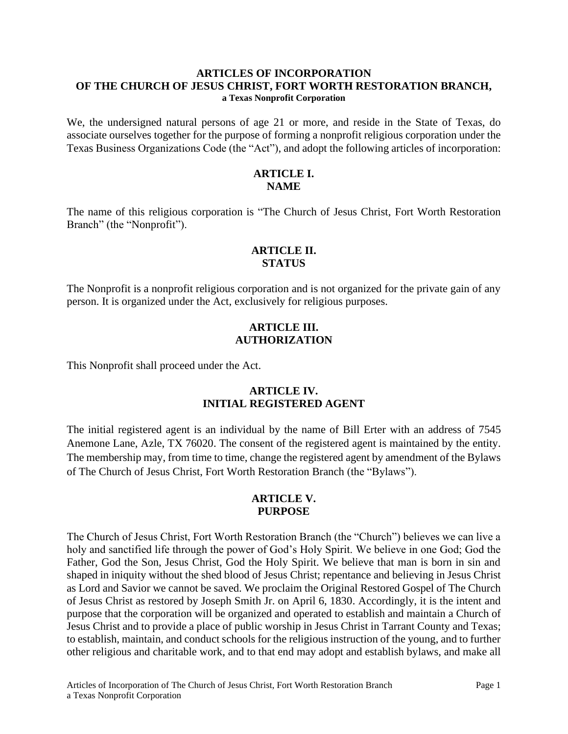#### **ARTICLES OF INCORPORATION OF THE CHURCH OF JESUS CHRIST, FORT WORTH RESTORATION BRANCH, a Texas Nonprofit Corporation**

We, the undersigned natural persons of age 21 or more, and reside in the State of Texas, do associate ourselves together for the purpose of forming a nonprofit religious corporation under the Texas Business Organizations Code (the "Act"), and adopt the following articles of incorporation:

## **ARTICLE I. NAME**

The name of this religious corporation is "The Church of Jesus Christ, Fort Worth Restoration Branch" (the "Nonprofit").

### **ARTICLE II. STATUS**

The Nonprofit is a nonprofit religious corporation and is not organized for the private gain of any person. It is organized under the Act, exclusively for religious purposes.

### **ARTICLE III. AUTHORIZATION**

This Nonprofit shall proceed under the Act.

## **ARTICLE IV. INITIAL REGISTERED AGENT**

The initial registered agent is an individual by the name of Bill Erter with an address of 7545 Anemone Lane, Azle, TX 76020. The consent of the registered agent is maintained by the entity. The membership may, from time to time, change the registered agent by amendment of the Bylaws of The Church of Jesus Christ, Fort Worth Restoration Branch (the "Bylaws").

#### **ARTICLE V. PURPOSE**

The Church of Jesus Christ, Fort Worth Restoration Branch (the "Church") believes we can live a holy and sanctified life through the power of God's Holy Spirit. We believe in one God; God the Father, God the Son, Jesus Christ, God the Holy Spirit. We believe that man is born in sin and shaped in iniquity without the shed blood of Jesus Christ; repentance and believing in Jesus Christ as Lord and Savior we cannot be saved. We proclaim the Original Restored Gospel of The Church of Jesus Christ as restored by Joseph Smith Jr. on April 6, 1830. Accordingly, it is the intent and purpose that the corporation will be organized and operated to establish and maintain a Church of Jesus Christ and to provide a place of public worship in Jesus Christ in Tarrant County and Texas; to establish, maintain, and conduct schools for the religious instruction of the young, and to further other religious and charitable work, and to that end may adopt and establish bylaws, and make all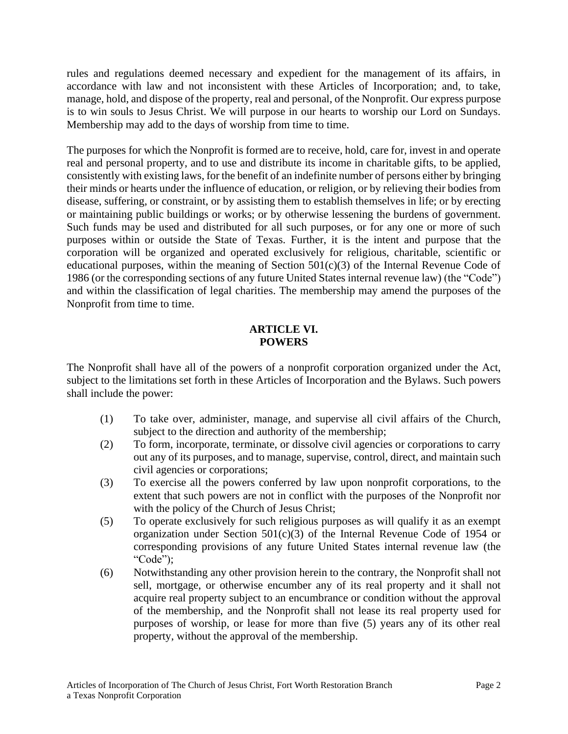rules and regulations deemed necessary and expedient for the management of its affairs, in accordance with law and not inconsistent with these Articles of Incorporation; and, to take, manage, hold, and dispose of the property, real and personal, of the Nonprofit. Our express purpose is to win souls to Jesus Christ. We will purpose in our hearts to worship our Lord on Sundays. Membership may add to the days of worship from time to time.

The purposes for which the Nonprofit is formed are to receive, hold, care for, invest in and operate real and personal property, and to use and distribute its income in charitable gifts, to be applied, consistently with existing laws, for the benefit of an indefinite number of persons either by bringing their minds or hearts under the influence of education, or religion, or by relieving their bodies from disease, suffering, or constraint, or by assisting them to establish themselves in life; or by erecting or maintaining public buildings or works; or by otherwise lessening the burdens of government. Such funds may be used and distributed for all such purposes, or for any one or more of such purposes within or outside the State of Texas. Further, it is the intent and purpose that the corporation will be organized and operated exclusively for religious, charitable, scientific or educational purposes, within the meaning of Section 501(c)(3) of the Internal Revenue Code of 1986 (or the corresponding sections of any future United States internal revenue law) (the "Code") and within the classification of legal charities. The membership may amend the purposes of the Nonprofit from time to time.

## **ARTICLE VI. POWERS**

The Nonprofit shall have all of the powers of a nonprofit corporation organized under the Act, subject to the limitations set forth in these Articles of Incorporation and the Bylaws. Such powers shall include the power:

- (1) To take over, administer, manage, and supervise all civil affairs of the Church, subject to the direction and authority of the membership;
- (2) To form, incorporate, terminate, or dissolve civil agencies or corporations to carry out any of its purposes, and to manage, supervise, control, direct, and maintain such civil agencies or corporations;
- (3) To exercise all the powers conferred by law upon nonprofit corporations, to the extent that such powers are not in conflict with the purposes of the Nonprofit nor with the policy of the Church of Jesus Christ;
- (5) To operate exclusively for such religious purposes as will qualify it as an exempt organization under Section  $501(c)(3)$  of the Internal Revenue Code of 1954 or corresponding provisions of any future United States internal revenue law (the "Code");
- (6) Notwithstanding any other provision herein to the contrary, the Nonprofit shall not sell, mortgage, or otherwise encumber any of its real property and it shall not acquire real property subject to an encumbrance or condition without the approval of the membership, and the Nonprofit shall not lease its real property used for purposes of worship, or lease for more than five (5) years any of its other real property, without the approval of the membership.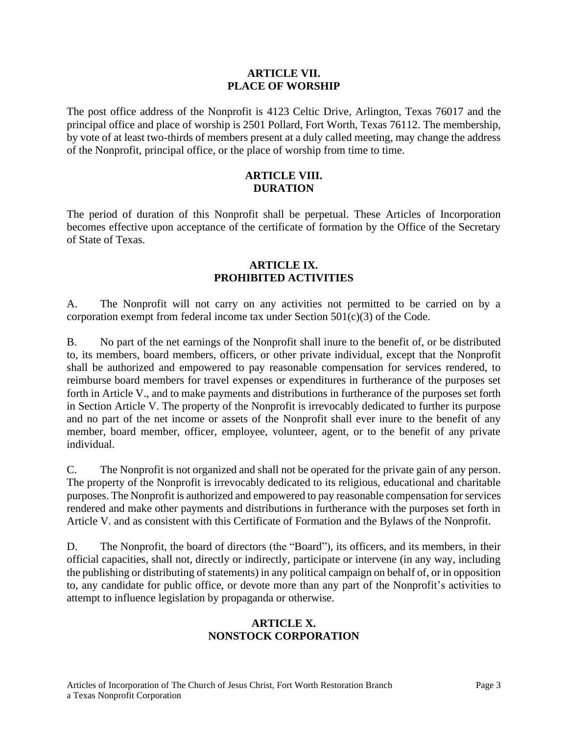#### **ARTICLE VII. PLACE OF WORSHIP**

The post office address of the Nonprofit is 4123 Celtic Drive, Arlington, Texas 76017 and the principal office and place of worship is 2501 Pollard, Fort Worth, Texas 76112. The membership, by vote of at least two-thirds of members present at a duly called meeting, may change the address of the Nonprofit, principal office, or the place of worship from time to time.

## **ARTICLE VIII. DURATION**

The period of duration of this Nonprofit shall be perpetual. These Articles of Incorporation becomes effective upon acceptance of the certificate of formation by the Office of the Secretary of State of Texas.

### **ARTICLE IX. PROHIBITED ACTIVITIES**

A. The Nonprofit will not carry on any activities not permitted to be carried on by a corporation exempt from federal income tax under Section 501(c)(3) of the Code.

B. No part of the net earnings of the Nonprofit shall inure to the benefit of, or be distributed to, its members, board members, officers, or other private individual, except that the Nonprofit shall be authorized and empowered to pay reasonable compensation for services rendered, to reimburse board members for travel expenses or expenditures in furtherance of the purposes set forth in Article V., and to make payments and distributions in furtherance of the purposes set forth in Section Article V. The property of the Nonprofit is irrevocably dedicated to further its purpose and no part of the net income or assets of the Nonprofit shall ever inure to the benefit of any member, board member, officer, employee, volunteer, agent, or to the benefit of any private individual.

C. The Nonprofit is not organized and shall not be operated for the private gain of any person. The property of the Nonprofit is irrevocably dedicated to its religious, educational and charitable purposes. The Nonprofit is authorized and empowered to pay reasonable compensation for services rendered and make other payments and distributions in furtherance with the purposes set forth in Article V. and as consistent with this Certificate of Formation and the Bylaws of the Nonprofit.

D. The Nonprofit, the board of directors (the "Board"), its officers, and its members, in their official capacities, shall not, directly or indirectly, participate or intervene (in any way, including the publishing or distributing of statements) in any political campaign on behalf of, or in opposition to, any candidate for public office, or devote more than any part of the Nonprofit's activities to attempt to influence legislation by propaganda or otherwise.

# **ARTICLE X. NONSTOCK CORPORATION**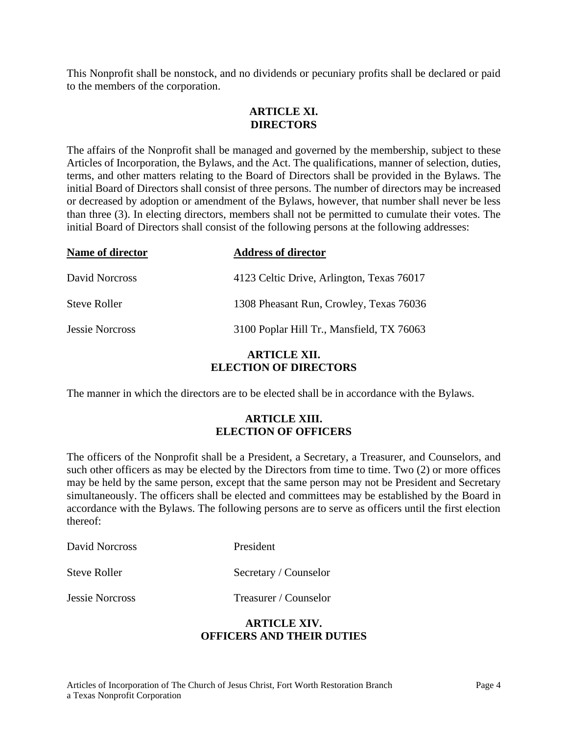This Nonprofit shall be nonstock, and no dividends or pecuniary profits shall be declared or paid to the members of the corporation.

# **ARTICLE XI. DIRECTORS**

The affairs of the Nonprofit shall be managed and governed by the membership, subject to these Articles of Incorporation, the Bylaws, and the Act. The qualifications, manner of selection, duties, terms, and other matters relating to the Board of Directors shall be provided in the Bylaws. The initial Board of Directors shall consist of three persons. The number of directors may be increased or decreased by adoption or amendment of the Bylaws, however, that number shall never be less than three (3). In electing directors, members shall not be permitted to cumulate their votes. The initial Board of Directors shall consist of the following persons at the following addresses:

| Name of director       | <b>Address of director</b>                |
|------------------------|-------------------------------------------|
| David Norcross         | 4123 Celtic Drive, Arlington, Texas 76017 |
| <b>Steve Roller</b>    | 1308 Pheasant Run, Crowley, Texas 76036   |
| <b>Jessie Norcross</b> | 3100 Poplar Hill Tr., Mansfield, TX 76063 |

#### **ARTICLE XII. ELECTION OF DIRECTORS**

The manner in which the directors are to be elected shall be in accordance with the Bylaws.

## **ARTICLE XIII. ELECTION OF OFFICERS**

The officers of the Nonprofit shall be a President, a Secretary, a Treasurer, and Counselors, and such other officers as may be elected by the Directors from time to time. Two (2) or more offices may be held by the same person, except that the same person may not be President and Secretary simultaneously. The officers shall be elected and committees may be established by the Board in accordance with the Bylaws. The following persons are to serve as officers until the first election thereof:

| President<br>David Norcross |                       |
|-----------------------------|-----------------------|
| Steve Roller                | Secretary / Counselor |
| <b>Jessie Norcross</b>      | Treasurer / Counselor |

## **ARTICLE XIV. OFFICERS AND THEIR DUTIES**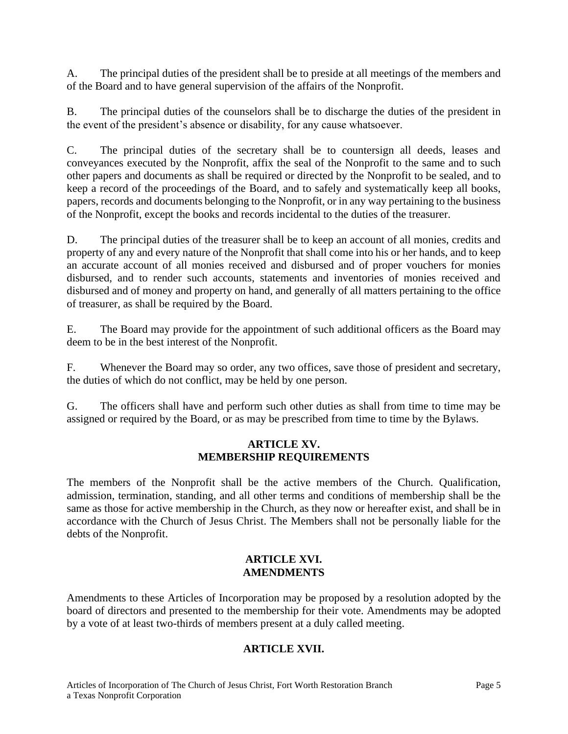A. The principal duties of the president shall be to preside at all meetings of the members and of the Board and to have general supervision of the affairs of the Nonprofit.

B. The principal duties of the counselors shall be to discharge the duties of the president in the event of the president's absence or disability, for any cause whatsoever.

C. The principal duties of the secretary shall be to countersign all deeds, leases and conveyances executed by the Nonprofit, affix the seal of the Nonprofit to the same and to such other papers and documents as shall be required or directed by the Nonprofit to be sealed, and to keep a record of the proceedings of the Board, and to safely and systematically keep all books, papers, records and documents belonging to the Nonprofit, or in any way pertaining to the business of the Nonprofit, except the books and records incidental to the duties of the treasurer.

D. The principal duties of the treasurer shall be to keep an account of all monies, credits and property of any and every nature of the Nonprofit that shall come into his or her hands, and to keep an accurate account of all monies received and disbursed and of proper vouchers for monies disbursed, and to render such accounts, statements and inventories of monies received and disbursed and of money and property on hand, and generally of all matters pertaining to the office of treasurer, as shall be required by the Board.

E. The Board may provide for the appointment of such additional officers as the Board may deem to be in the best interest of the Nonprofit.

F. Whenever the Board may so order, any two offices, save those of president and secretary, the duties of which do not conflict, may be held by one person.

G. The officers shall have and perform such other duties as shall from time to time may be assigned or required by the Board, or as may be prescribed from time to time by the Bylaws.

#### **ARTICLE XV. MEMBERSHIP REQUIREMENTS**

The members of the Nonprofit shall be the active members of the Church. Qualification, admission, termination, standing, and all other terms and conditions of membership shall be the same as those for active membership in the Church, as they now or hereafter exist, and shall be in accordance with the Church of Jesus Christ. The Members shall not be personally liable for the debts of the Nonprofit.

## **ARTICLE XVI. AMENDMENTS**

Amendments to these Articles of Incorporation may be proposed by a resolution adopted by the board of directors and presented to the membership for their vote. Amendments may be adopted by a vote of at least two-thirds of members present at a duly called meeting.

# **ARTICLE XVII.**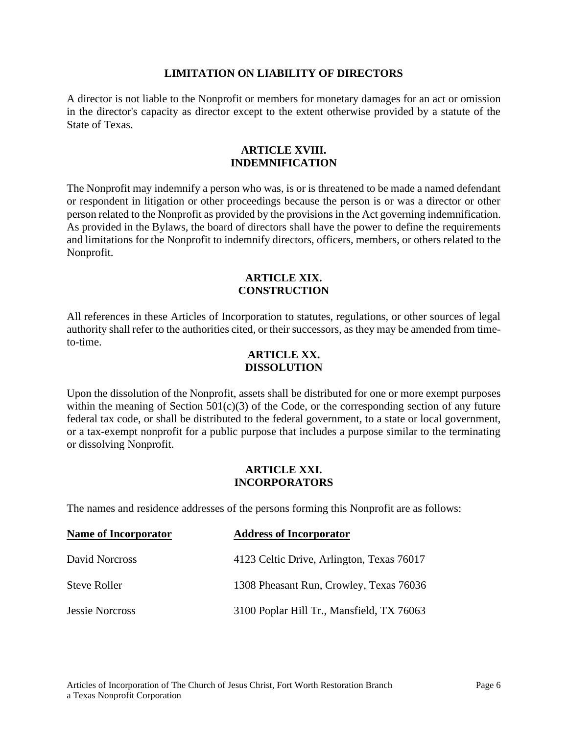#### **LIMITATION ON LIABILITY OF DIRECTORS**

A director is not liable to the Nonprofit or members for monetary damages for an act or omission in the director's capacity as director except to the extent otherwise provided by a statute of the State of Texas.

#### **ARTICLE XVIII. INDEMNIFICATION**

The Nonprofit may indemnify a person who was, is or is threatened to be made a named defendant or respondent in litigation or other proceedings because the person is or was a director or other person related to the Nonprofit as provided by the provisions in the Act governing indemnification. As provided in the Bylaws, the board of directors shall have the power to define the requirements and limitations for the Nonprofit to indemnify directors, officers, members, or others related to the Nonprofit.

### **ARTICLE XIX. CONSTRUCTION**

All references in these Articles of Incorporation to statutes, regulations, or other sources of legal authority shall refer to the authorities cited, or their successors, as they may be amended from timeto-time.

#### **ARTICLE XX. DISSOLUTION**

Upon the dissolution of the Nonprofit, assets shall be distributed for one or more exempt purposes within the meaning of Section  $501(c)(3)$  of the Code, or the corresponding section of any future federal tax code, or shall be distributed to the federal government, to a state or local government, or a tax-exempt nonprofit for a public purpose that includes a purpose similar to the terminating or dissolving Nonprofit.

#### **ARTICLE XXI. INCORPORATORS**

The names and residence addresses of the persons forming this Nonprofit are as follows:

| <b>Name of Incorporator</b> | <b>Address of Incorporator</b>            |
|-----------------------------|-------------------------------------------|
| David Norcross              | 4123 Celtic Drive, Arlington, Texas 76017 |
| <b>Steve Roller</b>         | 1308 Pheasant Run, Crowley, Texas 76036   |
| <b>Jessie Norcross</b>      | 3100 Poplar Hill Tr., Mansfield, TX 76063 |